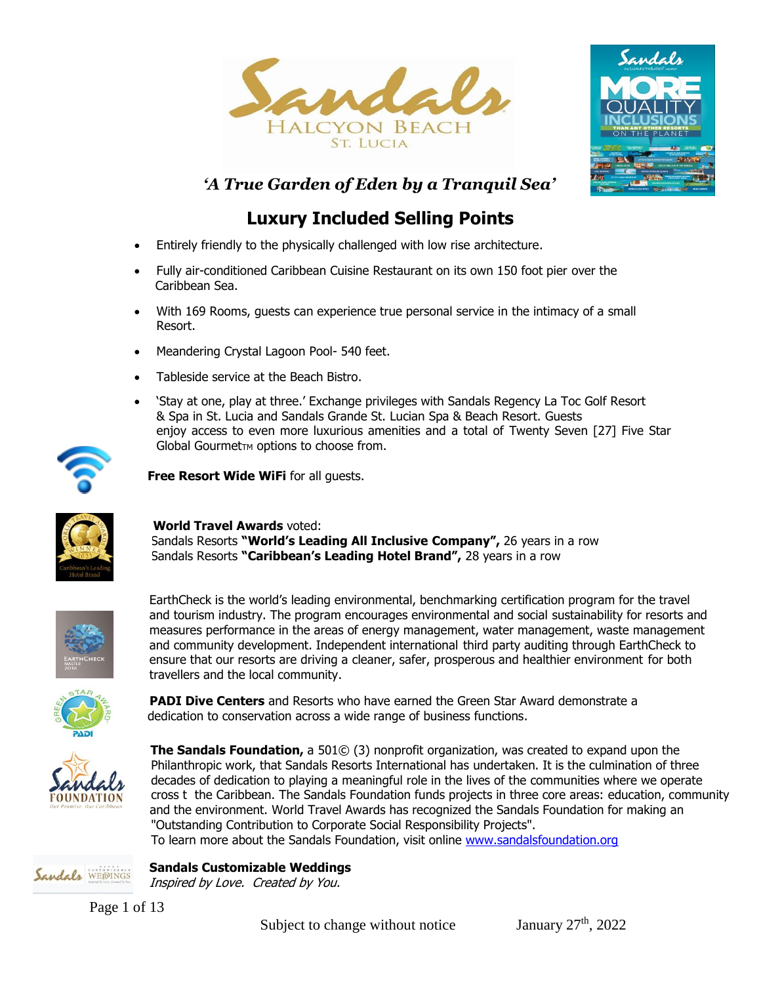



*'A True Garden of Eden by a Tranquil Sea'*

# **Luxury Included Selling Points**

- Entirely friendly to the physically challenged with low rise architecture.
- Fully air-conditioned Caribbean Cuisine Restaurant on its own 150 foot pier over the Caribbean Sea.
- With 169 Rooms, guests can experience true personal service in the intimacy of a small Resort.
- Meandering Crystal Lagoon Pool- 540 feet.
- Tableside service at the Beach Bistro.
- 'Stay at one, play at three.' Exchange privileges with Sandals Regency La Toc Golf Resort & Spa in St. Lucia and Sandals Grande St. Lucian Spa & Beach Resort. Guests enjoy access to even more luxurious amenities and a total of Twenty Seven [27] Five Star Global Gourmet<sub>TM</sub> options to choose from.



**Free Resort Wide WiFi** for all guests.



# **World Travel Awards** voted:

 Sandals Resorts **"World's Leading All Inclusive Company",** 26 years in a row Sandals Resorts **"Caribbean's Leading Hotel Brand",** 28 years in a row



EarthCheck is the world's leading environmental, benchmarking certification program for the travel and tourism industry. The program encourages environmental and social sustainability for resorts and measures performance in the areas of energy management, water management, waste management and community development. Independent international third party auditing through EarthCheck to ensure that our resorts are driving a cleaner, safer, prosperous and healthier environment for both travellers and the local community.



 **PADI Dive Centers** and Resorts who have earned the Green Star Award demonstrate a dedication to conservation across a wide range of business functions.



Sandals WEDINGS

**The Sandals Foundation,** a 501© (3) nonprofit organization, was created to expand upon the decades of dedication to playing a meaningful role in the lives of the communities where we operate Philanthropic work, that Sandals Resorts International has undertaken. It is the culmination of three cross t the Caribbean. The Sandals Foundation funds projects in three core areas: education, community and the environment. World Travel Awards has recognized the Sandals Foundation for making an "Outstanding Contribution to Corporate Social Responsibility Projects".

To learn more about the Sandals Foundation, visit online [www.sandalsfoundation.org](http://www.sandalsfoundation.org/)

# **Sandals Customizable Weddings**

Inspired by Love. Created by You.

Page 1 of 13

Subject to change without notice January  $27<sup>th</sup>$ ,  $2022$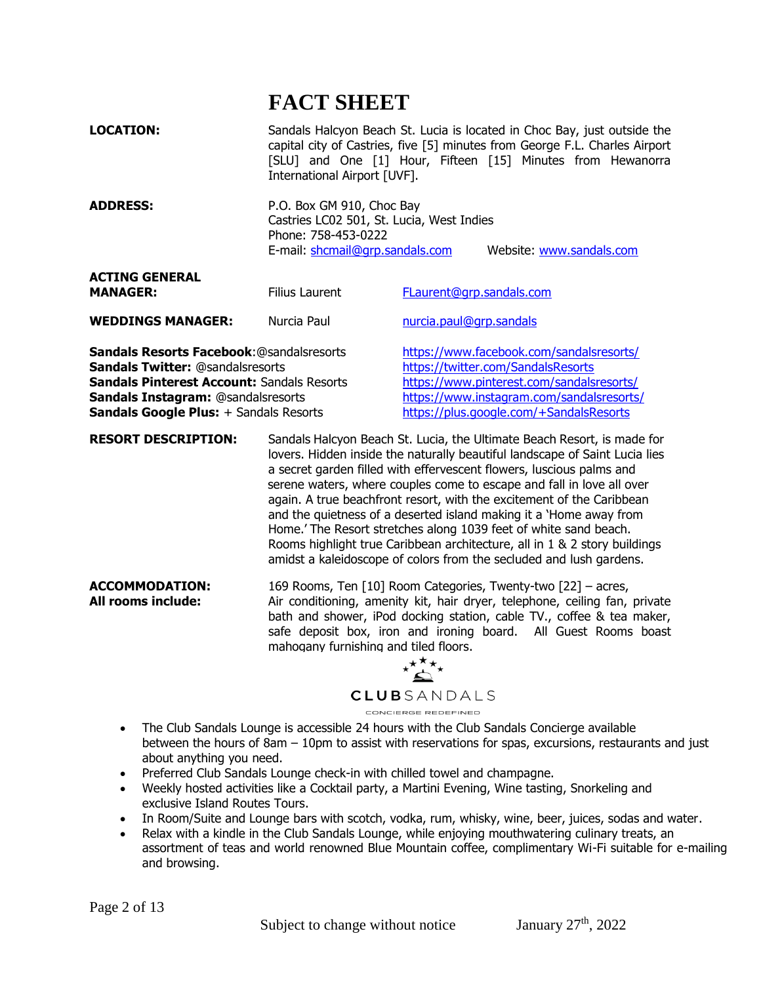# **FACT SHEET**

| <b>LOCATION:</b><br><b>ADDRESS:</b>                                                                                                                                                                                                     | Sandals Halcyon Beach St. Lucia is located in Choc Bay, just outside the<br>capital city of Castries, five [5] minutes from George F.L. Charles Airport<br>[SLU] and One [1] Hour, Fifteen [15] Minutes from Hewanorra<br>International Airport [UVF].<br>P.O. Box GM 910, Choc Bay<br>Castries LC02 501, St. Lucia, West Indies                                                                                                                                                                                                                                                                                                                                               |                                                                                                                                                                                                                     |
|-----------------------------------------------------------------------------------------------------------------------------------------------------------------------------------------------------------------------------------------|--------------------------------------------------------------------------------------------------------------------------------------------------------------------------------------------------------------------------------------------------------------------------------------------------------------------------------------------------------------------------------------------------------------------------------------------------------------------------------------------------------------------------------------------------------------------------------------------------------------------------------------------------------------------------------|---------------------------------------------------------------------------------------------------------------------------------------------------------------------------------------------------------------------|
|                                                                                                                                                                                                                                         | Phone: 758-453-0222<br>E-mail: shcmail@grp.sandals.com                                                                                                                                                                                                                                                                                                                                                                                                                                                                                                                                                                                                                         | Website: www.sandals.com                                                                                                                                                                                            |
| <b>ACTING GENERAL</b><br><b>MANAGER:</b>                                                                                                                                                                                                | <b>Filius Laurent</b>                                                                                                                                                                                                                                                                                                                                                                                                                                                                                                                                                                                                                                                          | FLaurent@grp.sandals.com                                                                                                                                                                                            |
| <b>WEDDINGS MANAGER:</b>                                                                                                                                                                                                                | Nurcia Paul                                                                                                                                                                                                                                                                                                                                                                                                                                                                                                                                                                                                                                                                    | nurcia.paul@grp.sandals                                                                                                                                                                                             |
| Sandals Resorts Facebook: @sandalsresorts<br><b>Sandals Twitter: @sandalsresorts</b><br><b>Sandals Pinterest Account: Sandals Resorts</b><br><b>Sandals Instagram: @sandalsresorts</b><br><b>Sandals Google Plus:</b> + Sandals Resorts |                                                                                                                                                                                                                                                                                                                                                                                                                                                                                                                                                                                                                                                                                | https://www.facebook.com/sandalsresorts/<br>https://twitter.com/SandalsResorts<br>https://www.pinterest.com/sandalsresorts/<br>https://www.instagram.com/sandalsresorts/<br>https://plus.google.com/+SandalsResorts |
| <b>RESORT DESCRIPTION:</b>                                                                                                                                                                                                              | Sandals Halcyon Beach St. Lucia, the Ultimate Beach Resort, is made for<br>lovers. Hidden inside the naturally beautiful landscape of Saint Lucia lies<br>a secret garden filled with effervescent flowers, luscious palms and<br>serene waters, where couples come to escape and fall in love all over<br>again. A true beachfront resort, with the excitement of the Caribbean<br>and the quietness of a deserted island making it a 'Home away from<br>Home.' The Resort stretches along 1039 feet of white sand beach.<br>Rooms highlight true Caribbean architecture, all in 1 & 2 story buildings<br>amidst a kaleidoscope of colors from the secluded and lush gardens. |                                                                                                                                                                                                                     |
| <b>ACCOMMODATION:</b><br>All rooms include:                                                                                                                                                                                             | 169 Rooms, Ten [10] Room Categories, Twenty-two [22] - acres,<br>Air conditioning, amenity kit, hair dryer, telephone, ceiling fan, private<br>bath and shower, iPod docking station, cable TV., coffee & tea maker,<br>safe deposit box, iron and ironing board. All Guest Rooms boast<br>mahogany furnishing and tiled floors.<br><b>CLUB</b> SANDALS<br>CONCIERGE REDEFINED                                                                                                                                                                                                                                                                                                 |                                                                                                                                                                                                                     |
|                                                                                                                                                                                                                                         |                                                                                                                                                                                                                                                                                                                                                                                                                                                                                                                                                                                                                                                                                |                                                                                                                                                                                                                     |

- The Club Sandals Lounge is accessible 24 hours with the Club Sandals Concierge available between the hours of 8am – 10pm to assist with reservations for spas, excursions, restaurants and just about anything you need.
- Preferred Club Sandals Lounge check-in with chilled towel and champagne.
- Weekly hosted activities like a Cocktail party, a Martini Evening, Wine tasting, Snorkeling and exclusive Island Routes Tours.
- In Room/Suite and Lounge bars with scotch, vodka, rum, whisky, wine, beer, juices, sodas and water.
- Relax with a kindle in the Club Sandals Lounge, while enjoying mouthwatering culinary treats, an assortment of teas and world renowned Blue Mountain coffee, complimentary Wi-Fi suitable for e-mailing and browsing.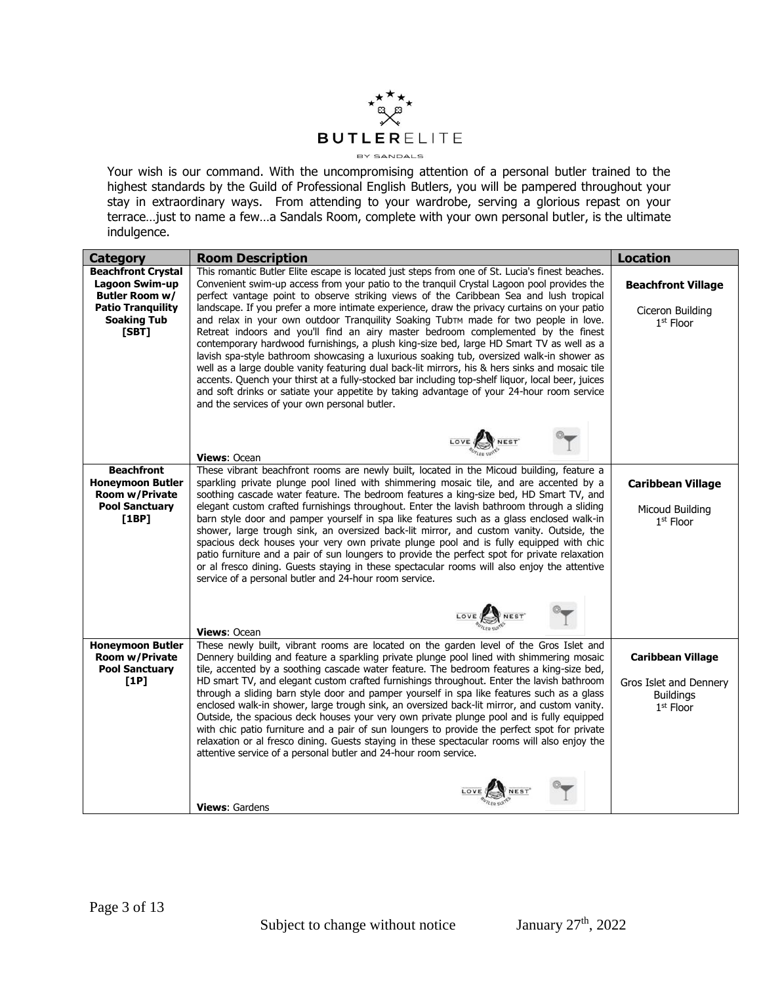

Your wish is our command. With the uncompromising attention of a personal butler trained to the highest standards by the Guild of Professional English Butlers, you will be pampered throughout your stay in extraordinary ways. From attending to your wardrobe, serving a glorious repast on your terrace…just to name a few…a Sandals Room, complete with your own personal butler, is the ultimate indulgence.

| <b>Category</b>                                                                                                                 | <b>Room Description</b>                                                                                                                                                                                                                                                                                                                                                                                                                                                                                                                                                                                                                                                                                                                                                                                                                                                                                                                                                                                                                                                                                             | <b>Location</b>                                                                                 |
|---------------------------------------------------------------------------------------------------------------------------------|---------------------------------------------------------------------------------------------------------------------------------------------------------------------------------------------------------------------------------------------------------------------------------------------------------------------------------------------------------------------------------------------------------------------------------------------------------------------------------------------------------------------------------------------------------------------------------------------------------------------------------------------------------------------------------------------------------------------------------------------------------------------------------------------------------------------------------------------------------------------------------------------------------------------------------------------------------------------------------------------------------------------------------------------------------------------------------------------------------------------|-------------------------------------------------------------------------------------------------|
| <b>Beachfront Crystal</b><br><b>Lagoon Swim-up</b><br>Butler Room w/<br><b>Patio Tranquility</b><br><b>Soaking Tub</b><br>[SBT] | This romantic Butler Elite escape is located just steps from one of St. Lucia's finest beaches.<br>Convenient swim-up access from your patio to the tranquil Crystal Lagoon pool provides the<br>perfect vantage point to observe striking views of the Caribbean Sea and lush tropical<br>landscape. If you prefer a more intimate experience, draw the privacy curtains on your patio<br>and relax in your own outdoor Tranquility Soaking TubTM made for two people in love.<br>Retreat indoors and you'll find an airy master bedroom complemented by the finest<br>contemporary hardwood furnishings, a plush king-size bed, large HD Smart TV as well as a<br>lavish spa-style bathroom showcasing a luxurious soaking tub, oversized walk-in shower as<br>well as a large double vanity featuring dual back-lit mirrors, his & hers sinks and mosaic tile<br>accents. Quench your thirst at a fully-stocked bar including top-shelf liguor, local beer, juices<br>and soft drinks or satiate your appetite by taking advantage of your 24-hour room service<br>and the services of your own personal butler. | <b>Beachfront Village</b><br>Ciceron Building<br>1st Floor                                      |
|                                                                                                                                 | LOVE NEST'<br>Views: Ocean                                                                                                                                                                                                                                                                                                                                                                                                                                                                                                                                                                                                                                                                                                                                                                                                                                                                                                                                                                                                                                                                                          |                                                                                                 |
| <b>Beachfront</b><br><b>Honeymoon Butler</b><br><b>Room w/Private</b><br><b>Pool Sanctuary</b><br>[1BP]                         | These vibrant beachfront rooms are newly built, located in the Micoud building, feature a<br>sparkling private plunge pool lined with shimmering mosaic tile, and are accented by a<br>soothing cascade water feature. The bedroom features a king-size bed, HD Smart TV, and<br>elegant custom crafted furnishings throughout. Enter the lavish bathroom through a sliding<br>barn style door and pamper yourself in spa like features such as a glass enclosed walk-in<br>shower, large trough sink, an oversized back-lit mirror, and custom vanity. Outside, the<br>spacious deck houses your very own private plunge pool and is fully equipped with chic<br>patio furniture and a pair of sun loungers to provide the perfect spot for private relaxation<br>or al fresco dining. Guests staying in these spectacular rooms will also enjoy the attentive<br>service of a personal butler and 24-hour room service.                                                                                                                                                                                           | <b>Caribbean Village</b><br>Micoud Building<br>$1st$ Floor                                      |
|                                                                                                                                 | LOVE NEST<br>Views: Ocean                                                                                                                                                                                                                                                                                                                                                                                                                                                                                                                                                                                                                                                                                                                                                                                                                                                                                                                                                                                                                                                                                           |                                                                                                 |
| <b>Honeymoon Butler</b><br><b>Room w/Private</b><br><b>Pool Sanctuary</b><br>[1P]                                               | These newly built, vibrant rooms are located on the garden level of the Gros Islet and<br>Dennery building and feature a sparkling private plunge pool lined with shimmering mosaic<br>tile, accented by a soothing cascade water feature. The bedroom features a king-size bed,<br>HD smart TV, and elegant custom crafted furnishings throughout. Enter the lavish bathroom<br>through a sliding barn style door and pamper yourself in spa like features such as a glass<br>enclosed walk-in shower, large trough sink, an oversized back-lit mirror, and custom vanity.<br>Outside, the spacious deck houses your very own private plunge pool and is fully equipped<br>with chic patio furniture and a pair of sun loungers to provide the perfect spot for private<br>relaxation or al fresco dining. Guests staying in these spectacular rooms will also enjoy the<br>attentive service of a personal butler and 24-hour room service.                                                                                                                                                                       | <b>Caribbean Village</b><br>Gros Islet and Dennery<br><b>Buildings</b><br>1 <sup>st</sup> Floor |
|                                                                                                                                 | Views: Gardens                                                                                                                                                                                                                                                                                                                                                                                                                                                                                                                                                                                                                                                                                                                                                                                                                                                                                                                                                                                                                                                                                                      |                                                                                                 |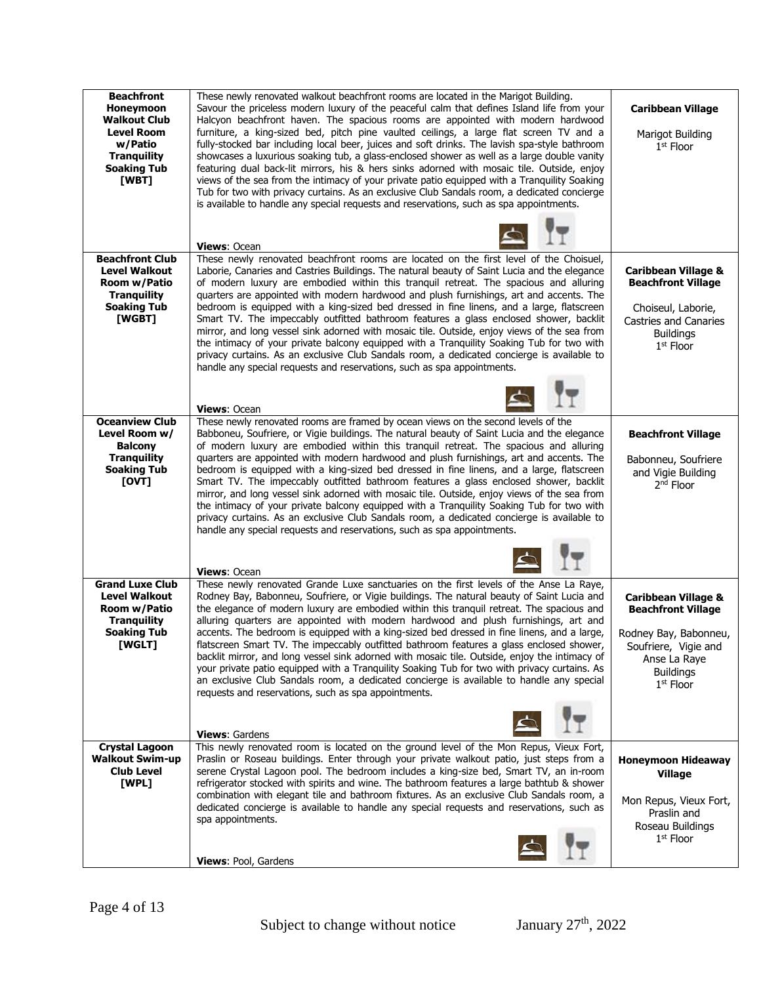| <b>Beachfront</b><br>Honeymoon<br><b>Walkout Club</b><br><b>Level Room</b><br>w/Patio<br><b>Tranguility</b><br><b>Soaking Tub</b><br>[WBT] | These newly renovated walkout beachfront rooms are located in the Marigot Building.<br>Savour the priceless modern luxury of the peaceful calm that defines Island life from your<br>Halcyon beachfront haven. The spacious rooms are appointed with modern hardwood<br>furniture, a king-sized bed, pitch pine vaulted ceilings, a large flat screen TV and a<br>fully-stocked bar including local beer, juices and soft drinks. The lavish spa-style bathroom<br>showcases a luxurious soaking tub, a glass-enclosed shower as well as a large double vanity<br>featuring dual back-lit mirrors, his & hers sinks adorned with mosaic tile. Outside, enjoy<br>views of the sea from the intimacy of your private patio equipped with a Tranquility Soaking<br>Tub for two with privacy curtains. As an exclusive Club Sandals room, a dedicated concierge<br>is available to handle any special requests and reservations, such as spa appointments.<br><b>Views: Ocean</b> | <b>Caribbean Village</b><br>Marigot Building<br>$1st$ Floor                                                                                                     |
|--------------------------------------------------------------------------------------------------------------------------------------------|-------------------------------------------------------------------------------------------------------------------------------------------------------------------------------------------------------------------------------------------------------------------------------------------------------------------------------------------------------------------------------------------------------------------------------------------------------------------------------------------------------------------------------------------------------------------------------------------------------------------------------------------------------------------------------------------------------------------------------------------------------------------------------------------------------------------------------------------------------------------------------------------------------------------------------------------------------------------------------|-----------------------------------------------------------------------------------------------------------------------------------------------------------------|
| <b>Beachfront Club</b><br><b>Level Walkout</b><br>Room w/Patio<br><b>Tranquility</b><br><b>Soaking Tub</b><br>[WGBT]                       | These newly renovated beachfront rooms are located on the first level of the Choisuel,<br>Laborie, Canaries and Castries Buildings. The natural beauty of Saint Lucia and the elegance<br>of modern luxury are embodied within this tranquil retreat. The spacious and alluring<br>quarters are appointed with modern hardwood and plush furnishings, art and accents. The<br>bedroom is equipped with a king-sized bed dressed in fine linens, and a large, flatscreen<br>Smart TV. The impeccably outfitted bathroom features a glass enclosed shower, backlit<br>mirror, and long vessel sink adorned with mosaic tile. Outside, enjoy views of the sea from<br>the intimacy of your private balcony equipped with a Tranquility Soaking Tub for two with<br>privacy curtains. As an exclusive Club Sandals room, a dedicated concierge is available to<br>handle any special requests and reservations, such as spa appointments.<br><b>Views: Ocean</b>                  | <b>Caribbean Village &amp;</b><br><b>Beachfront Village</b><br>Choiseul, Laborie,<br><b>Castries and Canaries</b><br><b>Buildings</b><br>$1st$ Floor            |
| <b>Oceanview Club</b><br>Level Room w/<br><b>Balcony</b><br><b>Tranquility</b><br><b>Soaking Tub</b><br>[OVT]                              | These newly renovated rooms are framed by ocean views on the second levels of the<br>Babboneu, Soufriere, or Vigie buildings. The natural beauty of Saint Lucia and the elegance<br>of modern luxury are embodied within this tranquil retreat. The spacious and alluring<br>quarters are appointed with modern hardwood and plush furnishings, art and accents. The<br>bedroom is equipped with a king-sized bed dressed in fine linens, and a large, flatscreen<br>Smart TV. The impeccably outfitted bathroom features a glass enclosed shower, backlit<br>mirror, and long vessel sink adorned with mosaic tile. Outside, enjoy views of the sea from<br>the intimacy of your private balcony equipped with a Tranquility Soaking Tub for two with<br>privacy curtains. As an exclusive Club Sandals room, a dedicated concierge is available to<br>handle any special requests and reservations, such as spa appointments.<br><b>Views: Ocean</b>                        | <b>Beachfront Village</b><br>Babonneu, Soufriere<br>and Vigie Building<br>2 <sup>nd</sup> Floor                                                                 |
| <b>Grand Luxe Club</b><br><b>Level Walkout</b><br>Room w/Patio<br><b>Tranquility</b><br><b>Soaking Tub</b><br>[WGLT]                       | These newly renovated Grande Luxe sanctuaries on the first levels of the Anse La Raye,<br>Rodney Bay, Babonneu, Soufriere, or Vigie buildings. The natural beauty of Saint Lucia and<br>the elegance of modern luxury are embodied within this tranquil retreat. The spacious and<br>alluring quarters are appointed with modern hardwood and plush furnishings, art and<br>accents. The bedroom is equipped with a king-sized bed dressed in fine linens, and a large,<br>flatscreen Smart TV. The impeccably outfitted bathroom features a glass enclosed shower,<br>backlit mirror, and long vessel sink adorned with mosaic tile. Outside, enjoy the intimacy of<br>your private patio equipped with a Tranquility Soaking Tub for two with privacy curtains. As<br>an exclusive Club Sandals room, a dedicated concierge is available to handle any special<br>requests and reservations, such as spa appointments.<br><b>Views: Gardens</b>                             | <b>Caribbean Village &amp;</b><br><b>Beachfront Village</b><br>Rodney Bay, Babonneu,<br>Soufriere, Vigie and<br>Anse La Raye<br><b>Buildings</b><br>$1st$ Floor |
| <b>Crystal Lagoon</b><br><b>Walkout Swim-up</b><br><b>Club Level</b><br>[WPL]                                                              | This newly renovated room is located on the ground level of the Mon Repus, Vieux Fort,<br>Praslin or Roseau buildings. Enter through your private walkout patio, just steps from a<br>serene Crystal Lagoon pool. The bedroom includes a king-size bed, Smart TV, an in-room<br>refrigerator stocked with spirits and wine. The bathroom features a large bathtub & shower<br>combination with elegant tile and bathroom fixtures. As an exclusive Club Sandals room, a<br>dedicated concierge is available to handle any special requests and reservations, such as<br>spa appointments.<br>Views: Pool, Gardens                                                                                                                                                                                                                                                                                                                                                             | <b>Honeymoon Hideaway</b><br><b>Village</b><br>Mon Repus, Vieux Fort,<br>Praslin and<br>Roseau Buildings<br>$1st$ Floor                                         |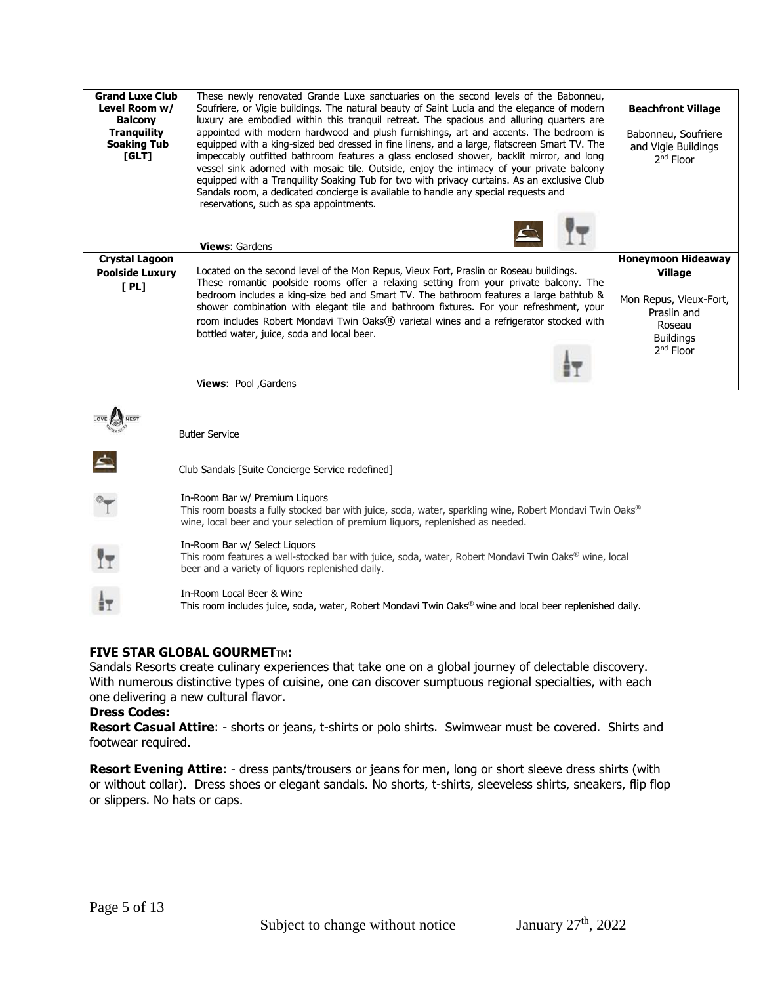| <b>Grand Luxe Club</b><br>Level Room w/<br><b>Balcony</b><br><b>Tranguility</b><br><b>Soaking Tub</b><br>[GLT] | These newly renovated Grande Luxe sanctuaries on the second levels of the Babonneu,<br>Soufriere, or Vigie buildings. The natural beauty of Saint Lucia and the elegance of modern<br>luxury are embodied within this tranquil retreat. The spacious and alluring quarters are<br>appointed with modern hardwood and plush furnishings, art and accents. The bedroom is<br>equipped with a king-sized bed dressed in fine linens, and a large, flatscreen Smart TV. The<br>impeccably outfitted bathroom features a glass enclosed shower, backlit mirror, and long<br>vessel sink adorned with mosaic tile. Outside, enjoy the intimacy of your private balcony<br>equipped with a Tranguility Soaking Tub for two with privacy curtains. As an exclusive Club<br>Sandals room, a dedicated concierge is available to handle any special requests and<br>reservations, such as spa appointments. | <b>Beachfront Village</b><br>Babonneu, Soufriere<br>and Vigie Buildings<br>$2nd$ Floor |
|----------------------------------------------------------------------------------------------------------------|---------------------------------------------------------------------------------------------------------------------------------------------------------------------------------------------------------------------------------------------------------------------------------------------------------------------------------------------------------------------------------------------------------------------------------------------------------------------------------------------------------------------------------------------------------------------------------------------------------------------------------------------------------------------------------------------------------------------------------------------------------------------------------------------------------------------------------------------------------------------------------------------------|----------------------------------------------------------------------------------------|
|                                                                                                                | <b>Views: Gardens</b>                                                                                                                                                                                                                                                                                                                                                                                                                                                                                                                                                                                                                                                                                                                                                                                                                                                                             |                                                                                        |
| <b>Crystal Lagoon</b><br><b>Poolside Luxury</b>                                                                | Located on the second level of the Mon Repus, Vieux Fort, Praslin or Roseau buildings.                                                                                                                                                                                                                                                                                                                                                                                                                                                                                                                                                                                                                                                                                                                                                                                                            | <b>Honeymoon Hideaway</b><br><b>Village</b>                                            |
| [PL]                                                                                                           | These romantic poolside rooms offer a relaxing setting from your private balcony. The<br>bedroom includes a king-size bed and Smart TV. The bathroom features a large bathtub &<br>shower combination with elegant tile and bathroom fixtures. For your refreshment, your<br>room includes Robert Mondavi Twin Oaks® varietal wines and a refrigerator stocked with<br>bottled water, juice, soda and local beer.<br>Views: Pool , Gardens                                                                                                                                                                                                                                                                                                                                                                                                                                                        | Mon Repus, Vieux-Fort,<br>Praslin and<br>Roseau<br><b>Buildings</b><br>$2nd$ Floor     |
|                                                                                                                |                                                                                                                                                                                                                                                                                                                                                                                                                                                                                                                                                                                                                                                                                                                                                                                                                                                                                                   |                                                                                        |
|                                                                                                                | <b>Butler Service</b>                                                                                                                                                                                                                                                                                                                                                                                                                                                                                                                                                                                                                                                                                                                                                                                                                                                                             |                                                                                        |
| $\Delta$                                                                                                       | Club Sandals [Suite Concierge Service redefined]                                                                                                                                                                                                                                                                                                                                                                                                                                                                                                                                                                                                                                                                                                                                                                                                                                                  |                                                                                        |
|                                                                                                                | In-Room Bar w/ Premium Liguors<br>This room boasts a fully stocked bar with juice, soda, water, sparkling wine, Robert Mondavi Twin Oaks®<br>wine, local beer and your selection of premium liguors, replenished as needed.                                                                                                                                                                                                                                                                                                                                                                                                                                                                                                                                                                                                                                                                       |                                                                                        |
|                                                                                                                | In-Room Bar w/ Select Liquors                                                                                                                                                                                                                                                                                                                                                                                                                                                                                                                                                                                                                                                                                                                                                                                                                                                                     |                                                                                        |



# **FIVE STAR GLOBAL GOURMET**TM**:**

Sandals Resorts create culinary experiences that take one on a global journey of delectable discovery. With numerous distinctive types of cuisine, one can discover sumptuous regional specialties, with each one delivering a new cultural flavor.

# **Dress Codes:**

**Resort Casual Attire**: - shorts or jeans, t-shirts or polo shirts. Swimwear must be covered. Shirts and footwear required.

**Resort Evening Attire**: - dress pants/trousers or jeans for men, long or short sleeve dress shirts (with or without collar). Dress shoes or elegant sandals. No shorts, t-shirts, sleeveless shirts, sneakers, flip flop or slippers. No hats or caps.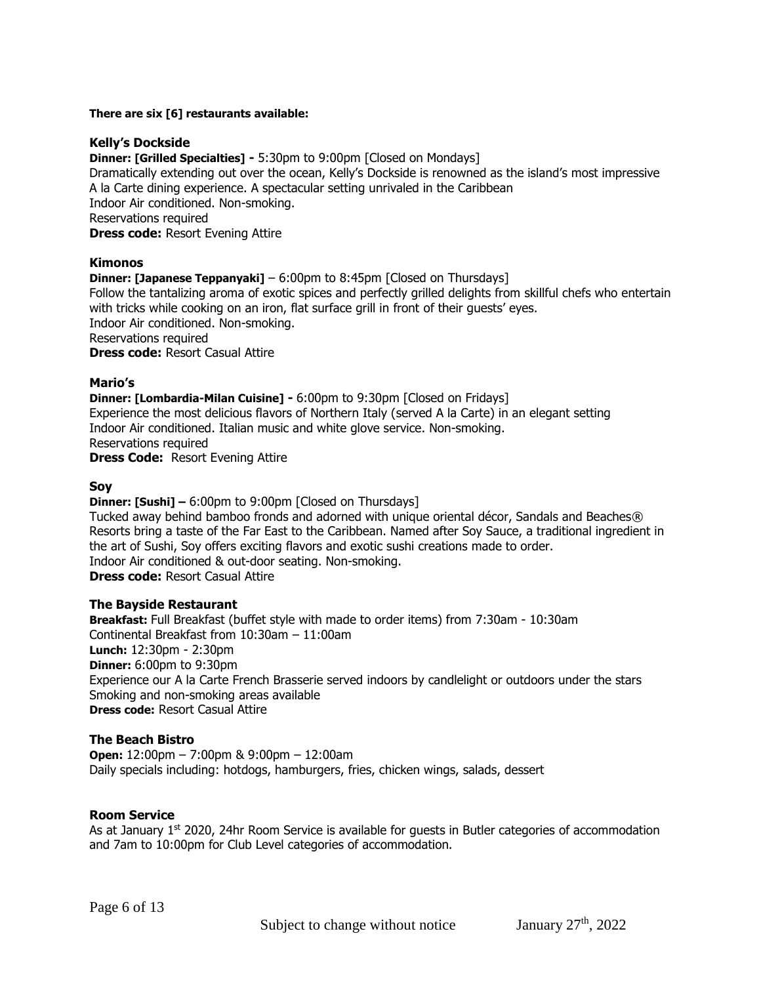# **There are six [6] restaurants available:**

# **Kelly's Dockside**

**Dinner: [Grilled Specialties] -** 5:30pm to 9:00pm [Closed on Mondays] Dramatically extending out over the ocean, Kelly's Dockside is renowned as the island's most impressive A la Carte dining experience. A spectacular setting unrivaled in the Caribbean Indoor Air conditioned. Non-smoking. Reservations required **Dress code:** Resort Evening Attire

# **Kimonos**

**Dinner: [Japanese Teppanyaki]** – 6:00pm to 8:45pm [Closed on Thursdays] Follow the tantalizing aroma of exotic spices and perfectly grilled delights from skillful chefs who entertain with tricks while cooking on an iron, flat surface grill in front of their guests' eyes. Indoor Air conditioned. Non-smoking. Reservations required **Dress code:** Resort Casual Attire

# **Mario's**

**Dinner: [Lombardia-Milan Cuisine] -** 6:00pm to 9:30pm [Closed on Fridays] Experience the most delicious flavors of Northern Italy (served A la Carte) in an elegant setting Indoor Air conditioned. Italian music and white glove service. Non-smoking. Reservations required **Dress Code:** Resort Evening Attire

## **Soy**

**Dinner: [Sushi] –** 6:00pm to 9:00pm [Closed on Thursdays]

Tucked away behind bamboo fronds and adorned with unique oriental décor, Sandals and Beaches® Resorts bring a taste of the Far East to the Caribbean. Named after Soy Sauce, a traditional ingredient in the art of Sushi, Soy offers exciting flavors and exotic sushi creations made to order. Indoor Air conditioned & out-door seating. Non-smoking. **Dress code:** Resort Casual Attire

# **The Bayside Restaurant**

**Breakfast:** Full Breakfast (buffet style with made to order items) from 7:30am - 10:30am Continental Breakfast from 10:30am – 11:00am **Lunch:** 12:30pm - 2:30pm **Dinner:** 6:00pm to 9:30pm Experience our A la Carte French Brasserie served indoors by candlelight or outdoors under the stars Smoking and non-smoking areas available **Dress code:** Resort Casual Attire

# **The Beach Bistro**

**Open:** 12:00pm – 7:00pm & 9:00pm – 12:00am Daily specials including: hotdogs, hamburgers, fries, chicken wings, salads, dessert

# **Room Service**

As at January  $1<sup>st</sup>$  2020, 24hr Room Service is available for quests in Butler categories of accommodation and 7am to 10:00pm for Club Level categories of accommodation.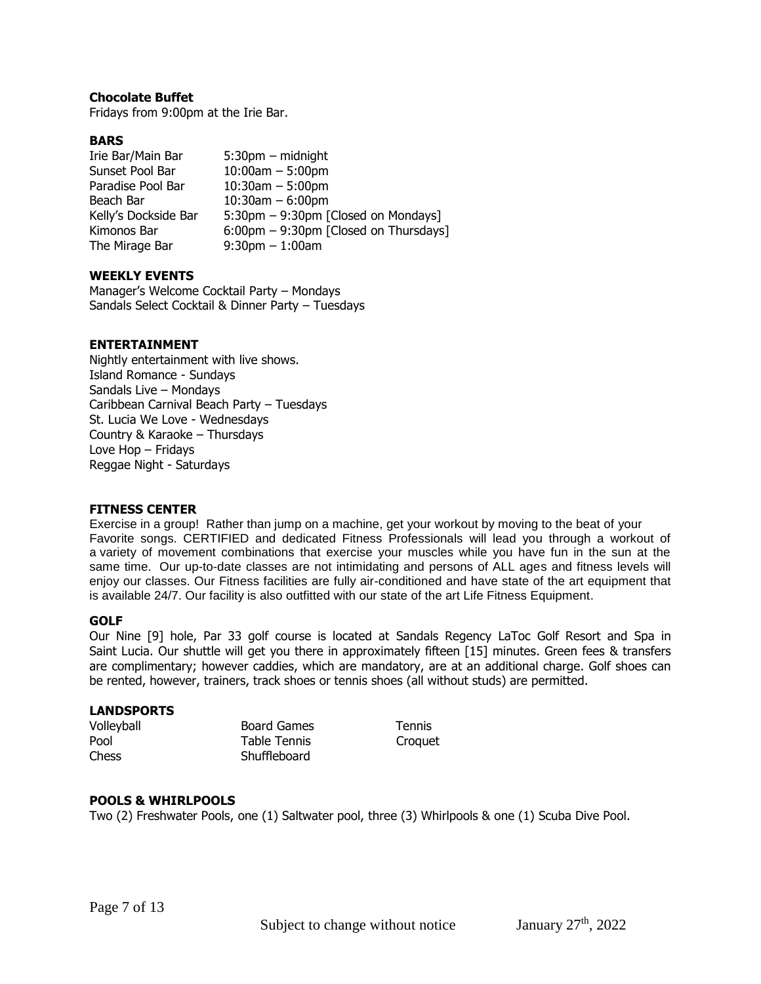# **Chocolate Buffet**

Fridays from 9:00pm at the Irie Bar.

# **BARS**

| Irie Bar/Main Bar    | $5:30$ pm – midnight                  |
|----------------------|---------------------------------------|
| Sunset Pool Bar      | $10:00$ am $-5:00$ pm                 |
| Paradise Pool Bar    | $10:30$ am $-5:00$ pm                 |
| Beach Bar            | $10:30$ am $-6:00$ pm                 |
| Kelly's Dockside Bar | 5:30pm - 9:30pm [Closed on Mondays]   |
| Kimonos Bar          | 6:00pm - 9:30pm [Closed on Thursdays] |
| The Mirage Bar       | $9:30$ pm $-1:00$ am                  |

# **WEEKLY EVENTS**

Manager's Welcome Cocktail Party – Mondays Sandals Select Cocktail & Dinner Party – Tuesdays

#### **ENTERTAINMENT**

Nightly entertainment with live shows. Island Romance - Sundays Sandals Live – Mondays Caribbean Carnival Beach Party – Tuesdays St. Lucia We Love - Wednesdays Country & Karaoke – Thursdays Love Hop – Fridays Reggae Night - Saturdays

#### **FITNESS CENTER**

Exercise in a group! Rather than jump on a machine, get your workout by moving to the beat of your Favorite songs. CERTIFIED and dedicated Fitness Professionals will lead you through a workout of a variety of movement combinations that exercise your muscles while you have fun in the sun at the same time. Our up-to-date classes are not intimidating and persons of ALL ages and fitness levels will enjoy our classes. Our Fitness facilities are fully air-conditioned and have state of the art equipment that is available 24/7. Our facility is also outfitted with our state of the art Life Fitness Equipment.

#### **GOLF**

Our Nine [9] hole, Par 33 golf course is located at Sandals Regency LaToc Golf Resort and Spa in Saint Lucia. Our shuttle will get you there in approximately fifteen [15] minutes. Green fees & transfers are complimentary; however caddies, which are mandatory, are at an additional charge. Golf shoes can be rented, however, trainers, track shoes or tennis shoes (all without studs) are permitted.

#### **LANDSPORTS**

| Volleyball   | <b>Board Games</b> | <b>Tennis</b> |
|--------------|--------------------|---------------|
| Pool         | Table Tennis       | Croquet       |
| <b>Chess</b> | Shuffleboard       |               |

# **POOLS & WHIRLPOOLS**

Two (2) Freshwater Pools, one (1) Saltwater pool, three (3) Whirlpools & one (1) Scuba Dive Pool.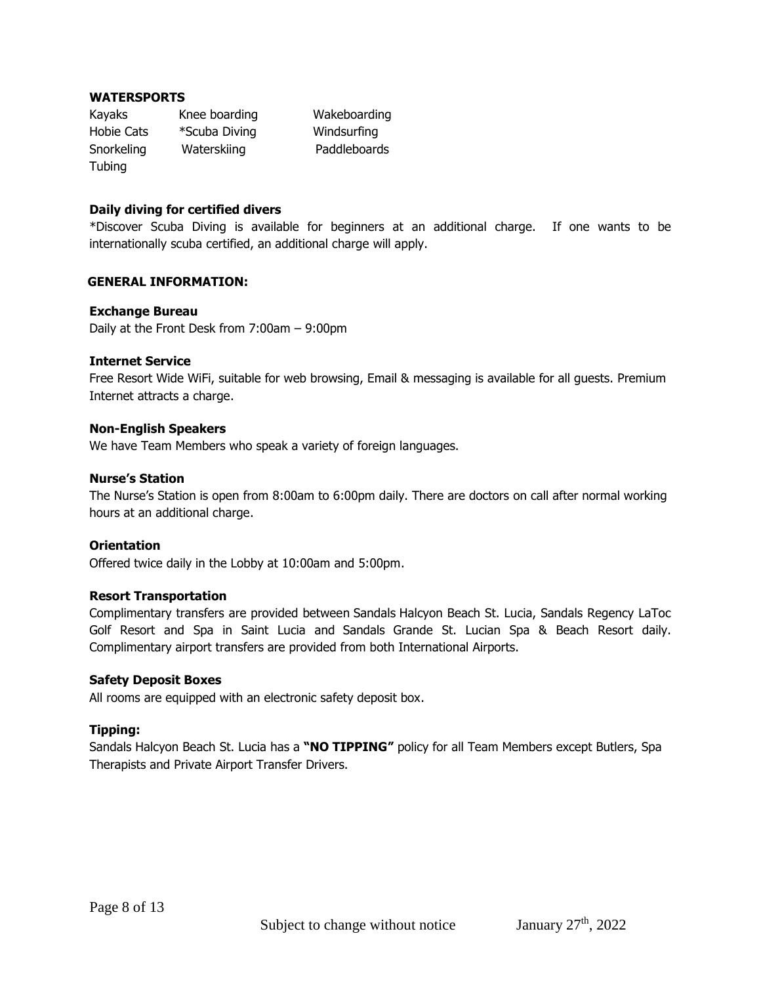# **WATERSPORTS**

Kayaks Knee boarding Wakeboarding Hobie Cats \*Scuba Diving Windsurfing Snorkeling Waterskiing Paddleboards Tubing

# **Daily diving for certified divers**

\*Discover Scuba Diving is available for beginners at an additional charge. If one wants to be internationally scuba certified, an additional charge will apply.

# **GENERAL INFORMATION:**

#### **Exchange Bureau**

Daily at the Front Desk from 7:00am – 9:00pm

## **Internet Service**

Free Resort Wide WiFi, suitable for web browsing, Email & messaging is available for all guests. Premium Internet attracts a charge.

#### **Non-English Speakers**

We have Team Members who speak a variety of foreign languages.

# **Nurse's Station**

The Nurse's Station is open from 8:00am to 6:00pm daily. There are doctors on call after normal working hours at an additional charge.

# **Orientation**

Offered twice daily in the Lobby at 10:00am and 5:00pm.

#### **Resort Transportation**

Complimentary transfers are provided between Sandals Halcyon Beach St. Lucia, Sandals Regency LaToc Golf Resort and Spa in Saint Lucia and Sandals Grande St. Lucian Spa & Beach Resort daily. Complimentary airport transfers are provided from both International Airports.

#### **Safety Deposit Boxes**

All rooms are equipped with an electronic safety deposit box.

# **Tipping:**

Sandals Halcyon Beach St. Lucia has a **"NO TIPPING"** policy for all Team Members except Butlers, Spa Therapists and Private Airport Transfer Drivers.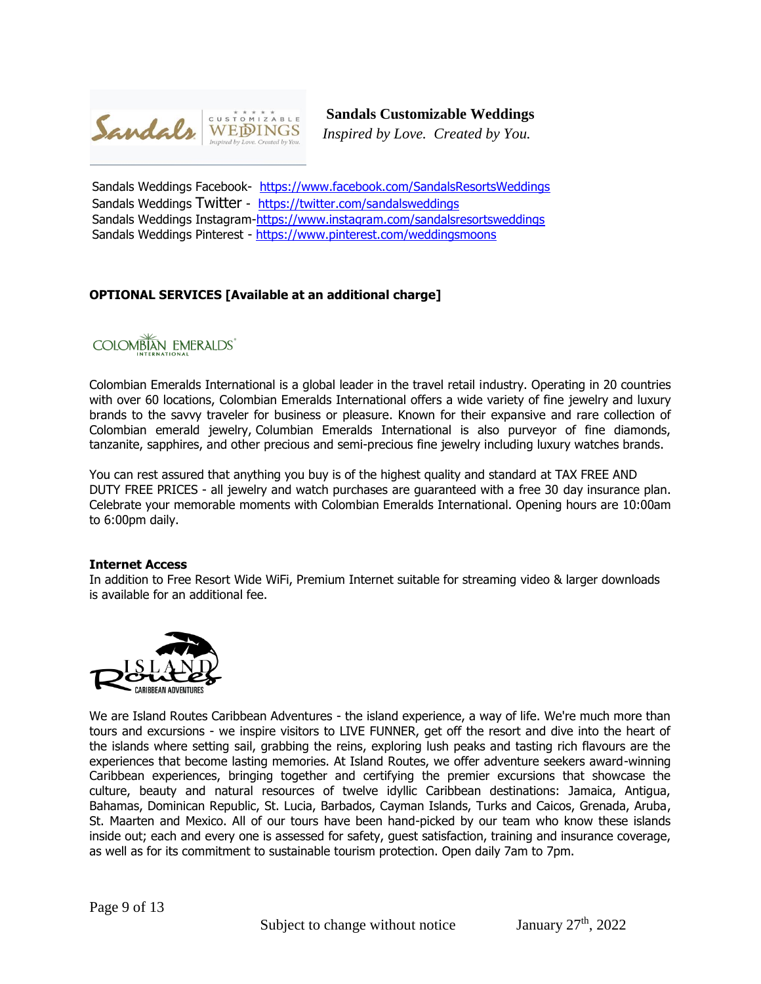

 **Sandals Customizable Weddings**

*Inspired by Love. Created by You.*

Sandals Weddings Facebook- <https://www.facebook.com/SandalsResortsWeddings> Sandals Weddings Twitter - <https://twitter.com/sandalsweddings> Sandals Weddings Instagram[-https://www.instagram.com/sandalsresortsweddings](https://www.instagram.com/sandalsresortsweddings)  Sandals Weddings Pinterest - https://www.pinterest.com/weddingsmoons

# **OPTIONAL SERVICES [Available at an additional charge]**

COLOMBIAN EMERALDS<sup>®</sup>

Colombian Emeralds International is a global leader in the travel retail industry. Operating in 20 countries with over 60 locations, Colombian Emeralds International offers a wide variety of fine jewelry and luxury brands to the savvy traveler for business or pleasure. Known for their expansive and rare collection of Colombian emerald jewelry, Columbian Emeralds International is also purveyor of fine diamonds, tanzanite, sapphires, and other precious and semi-precious fine jewelry including luxury watches brands.

You can rest assured that anything you buy is of the highest quality and standard at TAX FREE AND DUTY FREE PRICES - all jewelry and watch purchases are guaranteed with a free 30 day insurance plan. Celebrate your memorable moments with Colombian Emeralds International. Opening hours are 10:00am to 6:00pm daily.

#### **Internet Access**

In addition to Free Resort Wide WiFi, Premium Internet suitable for streaming video & larger downloads is available for an additional fee.



We are Island Routes Caribbean Adventures - the island experience, a way of life. We're much more than tours and excursions - we inspire visitors to LIVE FUNNER, get off the resort and dive into the heart of the islands where setting sail, grabbing the reins, exploring lush peaks and tasting rich flavours are the experiences that become lasting memories. At Island Routes, we offer adventure seekers award-winning Caribbean experiences, bringing together and certifying the premier excursions that showcase the culture, beauty and natural resources of twelve idyllic Caribbean destinations: Jamaica, Antigua, Bahamas, Dominican Republic, St. Lucia, Barbados, Cayman Islands, Turks and Caicos, Grenada, Aruba, St. Maarten and Mexico. All of our tours have been hand-picked by our team who know these islands inside out; each and every one is assessed for safety, guest satisfaction, training and insurance coverage, as well as for its commitment to sustainable tourism protection. Open daily 7am to 7pm.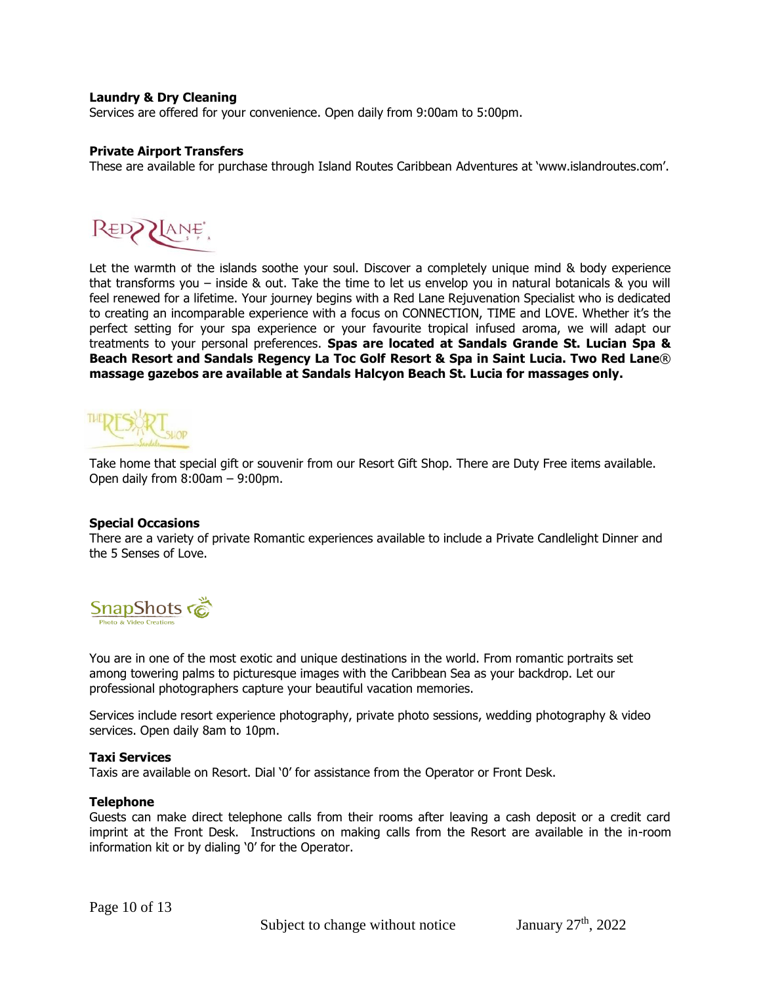# **Laundry & Dry Cleaning**

Services are offered for your convenience. Open daily from 9:00am to 5:00pm.

## **Private Airport Transfers**

These are available for purchase through Island Routes Caribbean Adventures at 'www.islandroutes.com'.



Let the warmth of the islands soothe your soul. Discover a completely unique mind & body experience that transforms you – inside & out. Take the time to let us envelop you in natural botanicals & you will feel renewed for a lifetime. Your journey begins with a Red Lane Rejuvenation Specialist who is dedicated to creating an incomparable experience with a focus on CONNECTION, TIME and LOVE. Whether it's the perfect setting for your spa experience or your favourite tropical infused aroma, we will adapt our treatments to your personal preferences. **Spas are located at Sandals Grande St. Lucian Spa & Beach Resort and Sandals Regency La Toc Golf Resort & Spa in Saint Lucia. Two Red Lane**® **massage gazebos are available at Sandals Halcyon Beach St. Lucia for massages only.**



Take home that special gift or souvenir from our Resort Gift Shop. There are Duty Free items available. Open daily from 8:00am – 9:00pm.

#### **Special Occasions**

There are a variety of private Romantic experiences available to include a Private Candlelight Dinner and the 5 Senses of Love.



You are in one of the most exotic and unique destinations in the world. From romantic portraits set among towering palms to picturesque images with the Caribbean Sea as your backdrop. Let our professional photographers capture your beautiful vacation memories.

Services include resort experience photography, private photo sessions, wedding photography & video services. Open daily 8am to 10pm.

#### **Taxi Services**

Taxis are available on Resort. Dial '0' for assistance from the Operator or Front Desk.

#### **Telephone**

Guests can make direct telephone calls from their rooms after leaving a cash deposit or a credit card imprint at the Front Desk. Instructions on making calls from the Resort are available in the in-room information kit or by dialing '0' for the Operator.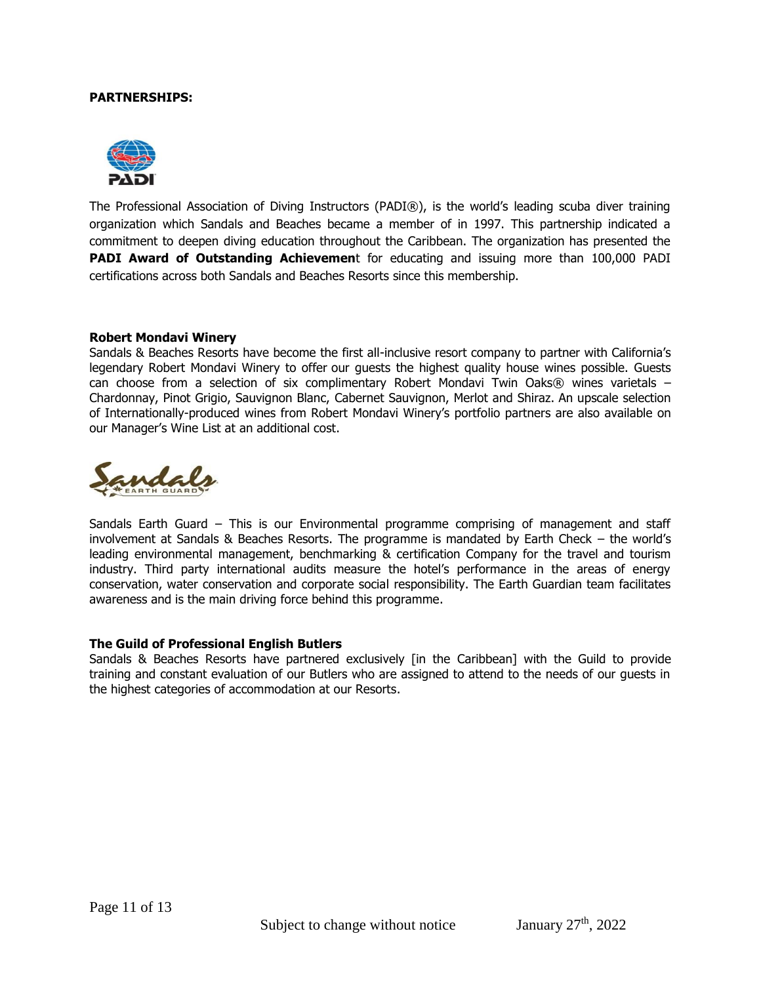#### **PARTNERSHIPS:**



The Professional Association of Diving Instructors (PADI®), is the world's leading scuba diver training organization which Sandals and Beaches became a member of in 1997. This partnership indicated a commitment to deepen diving education throughout the Caribbean. The organization has presented the **PADI Award of Outstanding Achievemen**t for educating and issuing more than 100,000 PADI certifications across both Sandals and Beaches Resorts since this membership.

#### **Robert Mondavi Winery**

Sandals & Beaches Resorts have become the first all-inclusive resort company to partner with California's legendary Robert Mondavi Winery to offer our guests the highest quality house wines possible. Guests can choose from a selection of six complimentary Robert Mondavi Twin Oaks $@$  wines varietals – Chardonnay, Pinot Grigio, Sauvignon Blanc, Cabernet Sauvignon, Merlot and Shiraz. An upscale selection of Internationally-produced wines from Robert Mondavi Winery's portfolio partners are also available on our Manager's Wine List at an additional cost.



Sandals Earth Guard – This is our Environmental programme comprising of management and staff involvement at Sandals & Beaches Resorts. The programme is mandated by Earth Check – the world's leading environmental management, benchmarking & certification Company for the travel and tourism industry. Third party international audits measure the hotel's performance in the areas of energy conservation, water conservation and corporate social responsibility. The Earth Guardian team facilitates awareness and is the main driving force behind this programme.

#### **The Guild of Professional English Butlers**

Sandals & Beaches Resorts have partnered exclusively [in the Caribbean] with the Guild to provide training and constant evaluation of our Butlers who are assigned to attend to the needs of our guests in the highest categories of accommodation at our Resorts.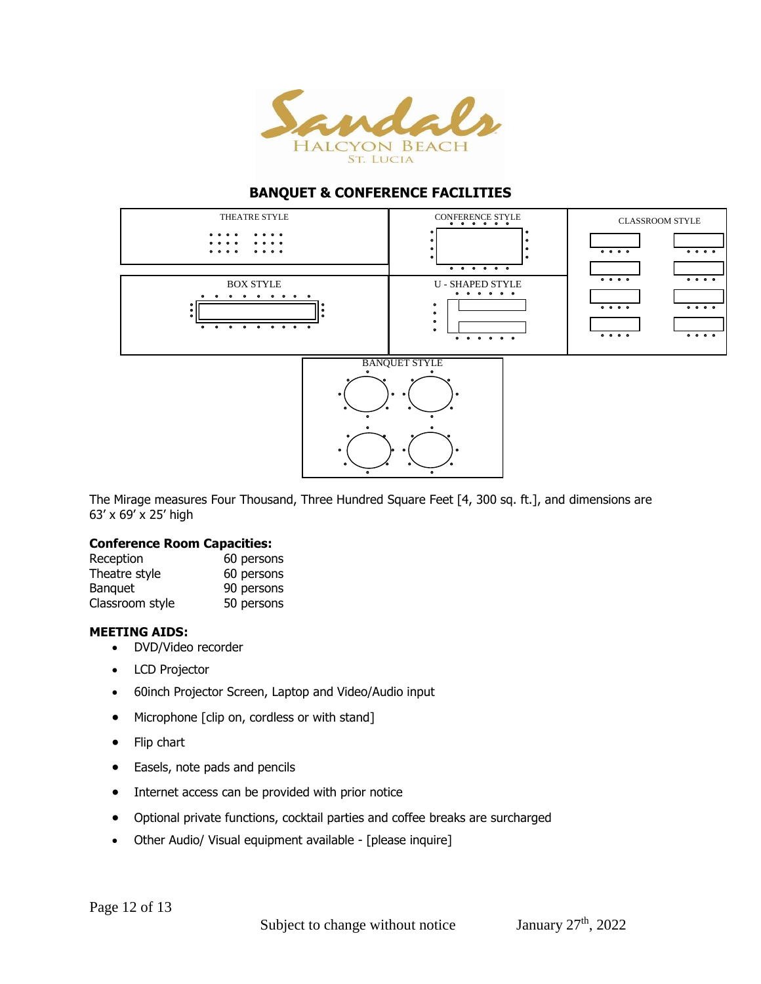

# **BANQUET & CONFERENCE FACILITIES**



The Mirage measures Four Thousand, Three Hundred Square Feet [4, 300 sq. ft.], and dimensions are 63' x 69' x 25' high

# **Conference Room Capacities:**

| Reception       | 60 persons |
|-----------------|------------|
| Theatre style   | 60 persons |
| <b>Banguet</b>  | 90 persons |
| Classroom style | 50 persons |

## **MEETING AIDS:**

- DVD/Video recorder
- LCD Projector
- 60inch Projector Screen, Laptop and Video/Audio input
- Microphone [clip on, cordless or with stand]
- Flip chart
- Easels, note pads and pencils
- Internet access can be provided with prior notice
- Optional private functions, cocktail parties and coffee breaks are surcharged
- Other Audio/ Visual equipment available [please inquire]

Page 12 of 13